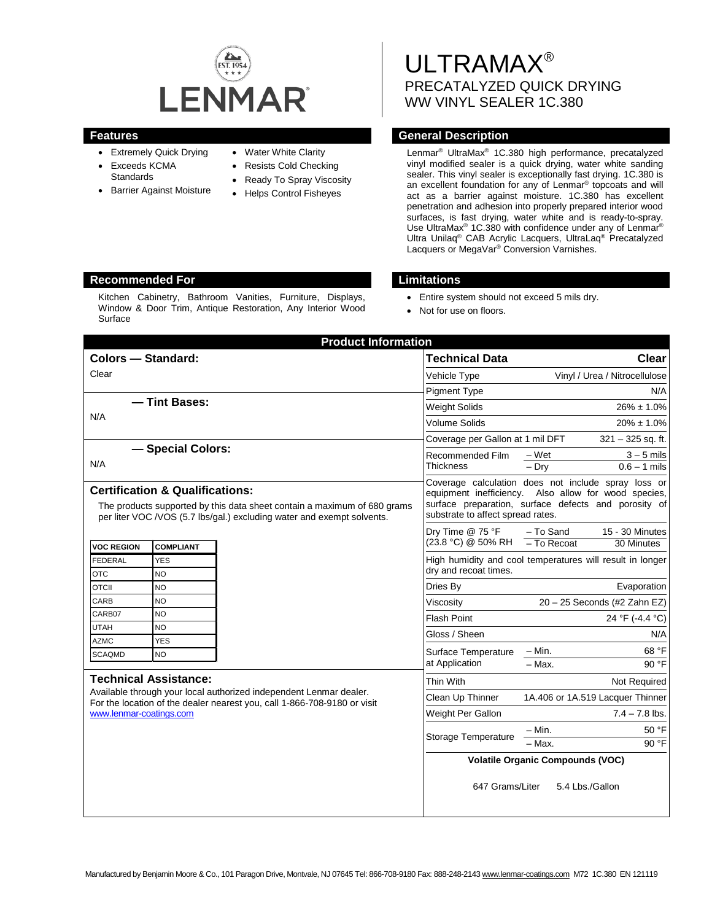

- Extremely Quick Drying
- Exceeds KCMA
- **Standards**
- Barrier Against Moisture
- Water White Clarity
- Resists Cold Checking
- Ready To Spray Viscosity
- Helps Control Fisheyes

# ULTRAMAX® PRECATALYZED QUICK DRYING WW VINYL SEALER 1C.380

# **Features General Description**

Lenmar® UltraMax® 1C.380 high performance, precatalyzed vinyl modified sealer is a quick drying, water white sanding sealer. This vinyl sealer is exceptionally fast drying. 1C.380 is an excellent foundation for any of Lenmar® topcoats and will act as a barrier against moisture. 1C.380 has excellent penetration and adhesion into properly prepared interior wood surfaces, is fast drying, water white and is ready-to-spray. Use UltraMax<sup>®</sup> 1C.380 with confidence under any of Lenmar<sup>®</sup> Ultra Unilaq® CAB Acrylic Lacquers, UltraLaq® Precatalyzed Lacquers or MegaVar® Conversion Varnishes.

# **Recommended For Limitations**

Kitchen Cabinetry, Bathroom Vanities, Furniture, Displays, Window & Door Trim, Antique Restoration, Any Interior Wood Surface

- Entire system should not exceed 5 mils dry.
- Not for use on floors.

| <b>Product Information</b>                                                                                                                                                                       |                         |  |                                                                                                                                                                                                          |                                         |                                  |  |
|--------------------------------------------------------------------------------------------------------------------------------------------------------------------------------------------------|-------------------------|--|----------------------------------------------------------------------------------------------------------------------------------------------------------------------------------------------------------|-----------------------------------------|----------------------------------|--|
| <b>Colors - Standard:</b>                                                                                                                                                                        |                         |  | <b>Technical Data</b>                                                                                                                                                                                    |                                         | Clear                            |  |
| Clear                                                                                                                                                                                            |                         |  | Vehicle Type                                                                                                                                                                                             | Vinyl / Urea / Nitrocellulose           |                                  |  |
|                                                                                                                                                                                                  |                         |  | <b>Pigment Type</b>                                                                                                                                                                                      |                                         | N/A                              |  |
| -Tint Bases:<br>N/A                                                                                                                                                                              |                         |  | <b>Weight Solids</b>                                                                                                                                                                                     | $26\% \pm 1.0\%$                        |                                  |  |
|                                                                                                                                                                                                  |                         |  | Volume Solids                                                                                                                                                                                            | $20\% \pm 1.0\%$                        |                                  |  |
|                                                                                                                                                                                                  |                         |  | Coverage per Gallon at 1 mil DFT                                                                                                                                                                         | $321 - 325$ sq. ft.                     |                                  |  |
| - Special Colors:                                                                                                                                                                                |                         |  | Recommended Film<br><b>Thickness</b>                                                                                                                                                                     | – Wet                                   | $3 - 5$ mils                     |  |
| N/A                                                                                                                                                                                              |                         |  |                                                                                                                                                                                                          | $-$ Drv                                 | $0.6 - 1$ mils                   |  |
| <b>Certification &amp; Qualifications:</b><br>The products supported by this data sheet contain a maximum of 680 grams<br>per liter VOC /VOS (5.7 lbs/gal.) excluding water and exempt solvents. |                         |  | Coverage calculation does not include spray loss or<br>equipment inefficiency. Also allow for wood species,<br>surface preparation, surface defects and porosity of<br>substrate to affect spread rates. |                                         |                                  |  |
|                                                                                                                                                                                                  |                         |  | Dry Time @ 75 °F                                                                                                                                                                                         | - To Sand                               | 15 - 30 Minutes                  |  |
| <b>VOC REGION</b>                                                                                                                                                                                | <b>COMPLIANT</b>        |  | (23.8 °C) @ 50% RH                                                                                                                                                                                       | $-$ To Recoat                           | 30 Minutes                       |  |
| <b>FEDERAL</b><br><b>OTC</b>                                                                                                                                                                     | <b>YES</b><br><b>NO</b> |  | High humidity and cool temperatures will result in longer<br>dry and recoat times.                                                                                                                       |                                         |                                  |  |
| <b>OTCII</b>                                                                                                                                                                                     | <b>NO</b>               |  | Dries By                                                                                                                                                                                                 |                                         | Evaporation                      |  |
| CARB                                                                                                                                                                                             | <b>NO</b>               |  | Viscosity                                                                                                                                                                                                | 20 - 25 Seconds (#2 Zahn EZ)            |                                  |  |
| CARB07                                                                                                                                                                                           | <b>NO</b>               |  | <b>Flash Point</b>                                                                                                                                                                                       |                                         | 24 °F (-4.4 °C)                  |  |
| <b>UTAH</b>                                                                                                                                                                                      | <b>NO</b>               |  | Gloss / Sheen                                                                                                                                                                                            |                                         | N/A                              |  |
| <b>AZMC</b>                                                                                                                                                                                      | <b>YES</b>              |  |                                                                                                                                                                                                          | $-$ Min.                                | 68 °F                            |  |
| <b>SCAQMD</b>                                                                                                                                                                                    | <b>NO</b>               |  | Surface Temperature<br>at Application                                                                                                                                                                    | $-$ Max.                                | 90 °F                            |  |
| <b>Technical Assistance:</b>                                                                                                                                                                     |                         |  | Thin With                                                                                                                                                                                                |                                         | Not Required                     |  |
| Available through your local authorized independent Lenmar dealer.                                                                                                                               |                         |  | Clean Up Thinner                                                                                                                                                                                         |                                         | 1A.406 or 1A.519 Lacquer Thinner |  |
| For the location of the dealer nearest you, call 1-866-708-9180 or visit<br>www.lenmar-coatings.com                                                                                              |                         |  | Weight Per Gallon                                                                                                                                                                                        |                                         | $7.4 - 7.8$ lbs.                 |  |
|                                                                                                                                                                                                  |                         |  |                                                                                                                                                                                                          | – Min.                                  | 50 °F                            |  |
|                                                                                                                                                                                                  |                         |  | Storage Temperature                                                                                                                                                                                      | $-$ Max.                                | 90 °F                            |  |
|                                                                                                                                                                                                  |                         |  |                                                                                                                                                                                                          | <b>Volatile Organic Compounds (VOC)</b> |                                  |  |
|                                                                                                                                                                                                  |                         |  | 647 Grams/Liter<br>5.4 Lbs./Gallon                                                                                                                                                                       |                                         |                                  |  |